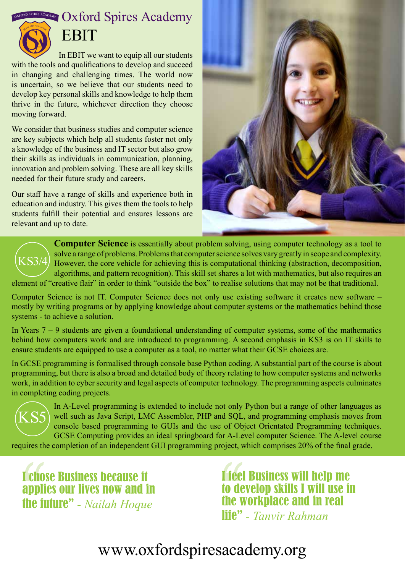$\frac{1}{2}$  **OXFORD SPIRES ACADEMY** 



## **EBIT**

In EBIT we want to equip all our students with the tools and qualifications to develop and succeed in changing and challenging times. The world now is uncertain, so we believe that our students need to develop key personal skills and knowledge to help them thrive in the future, whichever direction they choose moving forward.

We consider that business studies and computer science are key subjects which help all students foster not only a knowledge of the business and IT sector but also grow their skills as individuals in communication, planning, innovation and problem solving. These are all key skills needed for their future study and careers.

Our staff have a range of skills and experience both in education and industry. This gives them the tools to help students fulfill their potential and ensures lessons are relevant and up to date.



**Computer Science** is essentially about problem solving, using computer technology as a tool to solve a range of problems. Problems that computer science solves vary greatly in scope and complexity. However, the core vehicle for achieving this is computational thinking (abstraction, decomposition, algorithms, and pattern recognition). This skill set shares a lot with mathematics, but also requires an element of "creative flair" in order to think "outside the box" to realise solutions that may not be that traditional. KS3/4

Computer Science is not IT. Computer Science does not only use existing software it creates new software – mostly by writing programs or by applying knowledge about computer systems or the mathematics behind those systems - to achieve a solution.

In Years  $7 - 9$  students are given a foundational understanding of computer systems, some of the mathematics behind how computers work and are introduced to programming. A second emphasis in KS3 is on IT skills to ensure students are equipped to use a computer as a tool, no matter what their GCSE choices are.

In GCSE programming is formalised through console base Python coding. A substantial part of the course is about programming, but there is also a broad and detailed body of theory relating to how computer systems and networks work, in addition to cyber security and legal aspects of computer technology. The programming aspects culminates in completing coding projects.



In A-Level programming is extended to include not only Python but a range of other languages as well such as Java Script, LMC Assembler, PHP and SQL, and programming emphasis moves from console based programming to GUIs and the use of Object Orientated Programming techniques. GCSE Computing provides an ideal springboard for A-Level computer Science. The A-level course

requires the completion of an independent GUI programming project, which comprises 20% of the final grade.

I chose Business because it applies our lives now and in the future" *- Nailah Hoque*

I feel Business will help me to develop skills I will use in the workplace and in real life" *- Tanvir Rahman*

## www.oxfordspiresacademy.org